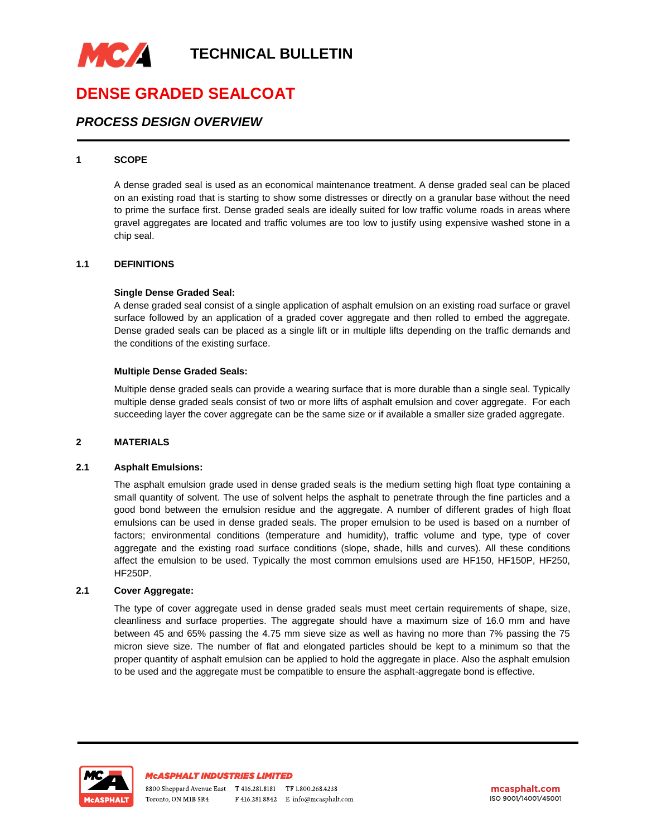

# **DENSE GRADED SEALCOAT**

## *PROCESS DESIGN OVERVIEW*

#### **1 SCOPE**

A dense graded seal is used as an economical maintenance treatment. A dense graded seal can be placed on an existing road that is starting to show some distresses or directly on a granular base without the need to prime the surface first. Dense graded seals are ideally suited for low traffic volume roads in areas where gravel aggregates are located and traffic volumes are too low to justify using expensive washed stone in a chip seal.

#### **1.1 DEFINITIONS**

#### **Single Dense Graded Seal:**

A dense graded seal consist of a single application of asphalt emulsion on an existing road surface or gravel surface followed by an application of a graded cover aggregate and then rolled to embed the aggregate. Dense graded seals can be placed as a single lift or in multiple lifts depending on the traffic demands and the conditions of the existing surface.

#### **Multiple Dense Graded Seals:**

Multiple dense graded seals can provide a wearing surface that is more durable than a single seal. Typically multiple dense graded seals consist of two or more lifts of asphalt emulsion and cover aggregate. For each succeeding layer the cover aggregate can be the same size or if available a smaller size graded aggregate.

### **2 MATERIALS**

#### **2.1 Asphalt Emulsions:**

The asphalt emulsion grade used in dense graded seals is the medium setting high float type containing a small quantity of solvent. The use of solvent helps the asphalt to penetrate through the fine particles and a good bond between the emulsion residue and the aggregate. A number of different grades of high float emulsions can be used in dense graded seals. The proper emulsion to be used is based on a number of factors; environmental conditions (temperature and humidity), traffic volume and type, type of cover aggregate and the existing road surface conditions (slope, shade, hills and curves). All these conditions affect the emulsion to be used. Typically the most common emulsions used are HF150, HF150P, HF250, HF250P.

#### **2.1 Cover Aggregate:**

The type of cover aggregate used in dense graded seals must meet certain requirements of shape, size, cleanliness and surface properties. The aggregate should have a maximum size of 16.0 mm and have between 45 and 65% passing the 4.75 mm sieve size as well as having no more than 7% passing the 75 micron sieve size. The number of flat and elongated particles should be kept to a minimum so that the proper quantity of asphalt emulsion can be applied to hold the aggregate in place. Also the asphalt emulsion to be used and the aggregate must be compatible to ensure the asphalt-aggregate bond is effective.

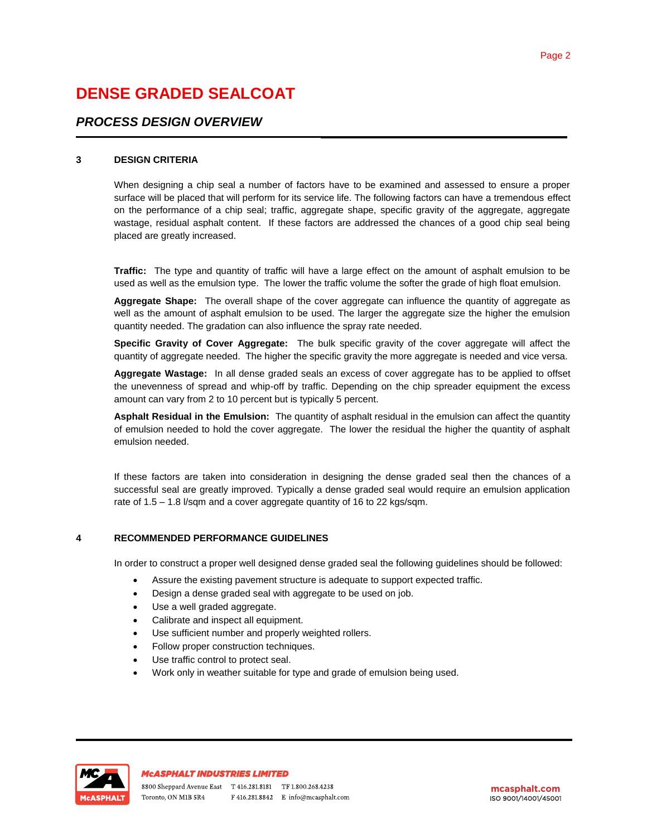# **DENSE GRADED SEALCOAT**

## *PROCESS DESIGN OVERVIEW*

### **3 DESIGN CRITERIA**

When designing a chip seal a number of factors have to be examined and assessed to ensure a proper surface will be placed that will perform for its service life. The following factors can have a tremendous effect on the performance of a chip seal; traffic, aggregate shape, specific gravity of the aggregate, aggregate wastage, residual asphalt content. If these factors are addressed the chances of a good chip seal being placed are greatly increased.

**Traffic:** The type and quantity of traffic will have a large effect on the amount of asphalt emulsion to be used as well as the emulsion type. The lower the traffic volume the softer the grade of high float emulsion.

**Aggregate Shape:** The overall shape of the cover aggregate can influence the quantity of aggregate as well as the amount of asphalt emulsion to be used. The larger the aggregate size the higher the emulsion quantity needed. The gradation can also influence the spray rate needed.

**Specific Gravity of Cover Aggregate:** The bulk specific gravity of the cover aggregate will affect the quantity of aggregate needed. The higher the specific gravity the more aggregate is needed and vice versa.

**Aggregate Wastage:** In all dense graded seals an excess of cover aggregate has to be applied to offset the unevenness of spread and whip-off by traffic. Depending on the chip spreader equipment the excess amount can vary from 2 to 10 percent but is typically 5 percent.

**Asphalt Residual in the Emulsion:** The quantity of asphalt residual in the emulsion can affect the quantity of emulsion needed to hold the cover aggregate. The lower the residual the higher the quantity of asphalt emulsion needed.

If these factors are taken into consideration in designing the dense graded seal then the chances of a successful seal are greatly improved. Typically a dense graded seal would require an emulsion application rate of 1.5 – 1.8 l/sqm and a cover aggregate quantity of 16 to 22 kgs/sqm.

## **4 RECOMMENDED PERFORMANCE GUIDELINES**

In order to construct a proper well designed dense graded seal the following guidelines should be followed:

- Assure the existing pavement structure is adequate to support expected traffic.
- Design a dense graded seal with aggregate to be used on job.
- Use a well graded aggregate.
- Calibrate and inspect all equipment.
- Use sufficient number and properly weighted rollers.
- Follow proper construction techniques.
- Use traffic control to protect seal.
- Work only in weather suitable for type and grade of emulsion being used.